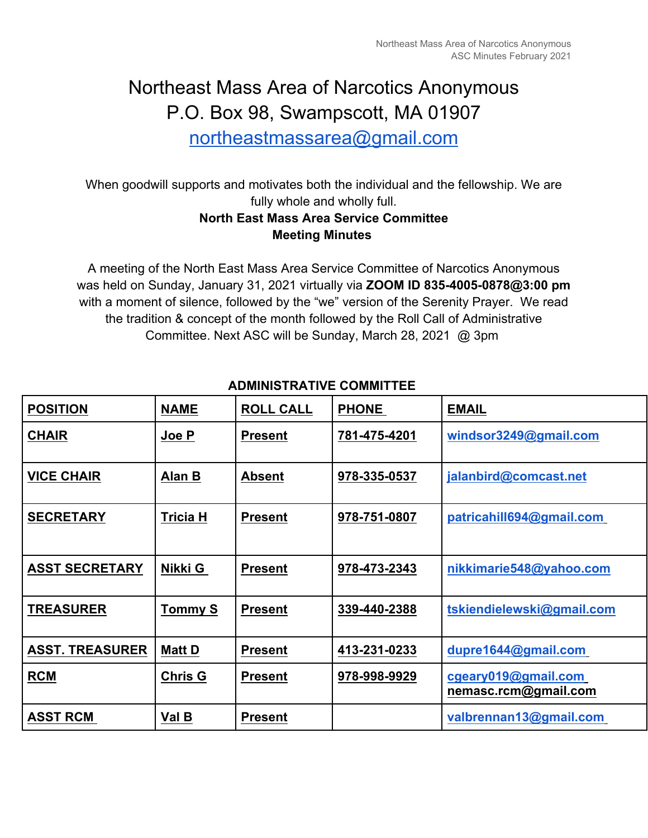# Northeast Mass Area of Narcotics Anonymous P.O. Box 98, Swampscott, MA 01907

northeastmassarea@gmail.com

When goodwill supports and motivates both the individual and the fellowship. We are fully whole and wholly full.

### **North East Mass Area Service Committee Meeting Minutes**

A meeting of the North East Mass Area Service Committee of Narcotics Anonymous was held on Sunday, January 31, 2021 virtually via **ZOOM ID 835-4005-0878@3:00 pm**  with a moment of silence, followed by the "we" version of the Serenity Prayer. We read the tradition & concept of the month followed by the Roll Call of Administrative Committee. Next ASC will be Sunday, March 28, 2021 @ 3pm

| <b>POSITION</b>        | <b>NAME</b>     | <b>ROLL CALL</b> | <b>PHONE</b> | <b>EMAIL</b>                                |
|------------------------|-----------------|------------------|--------------|---------------------------------------------|
| <b>CHAIR</b>           | Joe P           | <b>Present</b>   | 781-475-4201 | windsor3249@gmail.com                       |
| <b>VICE CHAIR</b>      | Alan B          | <b>Absent</b>    | 978-335-0537 | jalanbird@comcast.net                       |
| <b>SECRETARY</b>       | <b>Tricia H</b> | <b>Present</b>   | 978-751-0807 | patricahill694@gmail.com                    |
| <b>ASST SECRETARY</b>  | Nikki G         | <b>Present</b>   | 978-473-2343 | nikkimarie548@yahoo.com                     |
| <b>TREASURER</b>       | <b>Tommy S</b>  | <b>Present</b>   | 339-440-2388 | tskiendielewski@gmail.com                   |
| <b>ASST. TREASURER</b> | <b>Matt D</b>   | <b>Present</b>   | 413-231-0233 | dupre1644@gmail.com                         |
| <b>RCM</b>             | <b>Chris G</b>  | <b>Present</b>   | 978-998-9929 | cgeary019@gmail.com<br>nemasc.rcm@gmail.com |
| <b>ASST RCM</b>        | Val B           | <b>Present</b>   |              | valbrennan13@gmail.com                      |

# **ADMINISTRATIVE COMMITTEE**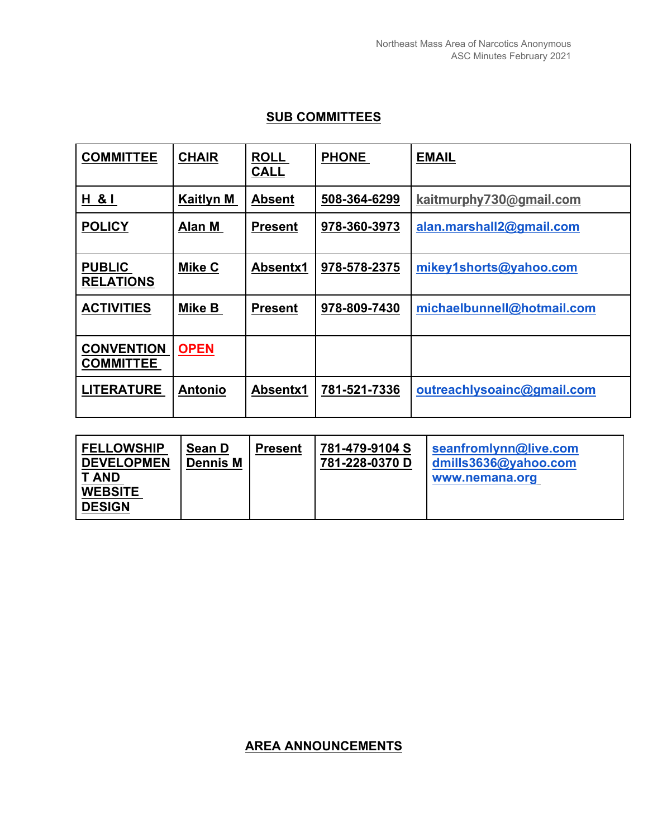### **SUB COMMITTEES**

| <b>COMMITTEE</b>                      | <b>CHAIR</b>     | <b>ROLL</b><br><b>CALL</b> | <b>PHONE</b> | <b>EMAIL</b>               |
|---------------------------------------|------------------|----------------------------|--------------|----------------------------|
| H & I                                 | <b>Kaitlyn M</b> | <b>Absent</b>              | 508-364-6299 | kaitmurphy730@gmail.com    |
| <b>POLICY</b>                         | Alan M           | <b>Present</b>             | 978-360-3973 | alan.marshall2@gmail.com   |
| <b>PUBLIC</b><br><b>RELATIONS</b>     | <b>Mike C</b>    | Absentx1                   | 978-578-2375 | mikey1shorts@yahoo.com     |
| <b>ACTIVITIES</b>                     | Mike B           | <b>Present</b>             | 978-809-7430 | michaelbunnell@hotmail.com |
| <b>CONVENTION</b><br><b>COMMITTEE</b> | <b>OPEN</b>      |                            |              |                            |
| <b>LITERATURE</b>                     | <b>Antonio</b>   | <b>Absentx1</b>            | 781-521-7336 | outreachlysoainc@gmail.com |

| <b>FELLOWSHIP</b><br><b>DEVELOPMEN</b><br><b>T AND</b><br><b>WEBSITE</b><br><b>DESIGN</b> | Sean D<br><b>Dennis M</b> | <b>Present</b> | 781-479-9104 S<br>781-228-0370 D | seanfromlynn@live.com<br>dmills3636@yahoo.com<br>www.nemana.org |  |  |  |
|-------------------------------------------------------------------------------------------|---------------------------|----------------|----------------------------------|-----------------------------------------------------------------|--|--|--|
|-------------------------------------------------------------------------------------------|---------------------------|----------------|----------------------------------|-----------------------------------------------------------------|--|--|--|

### **AREA ANNOUNCEMENTS**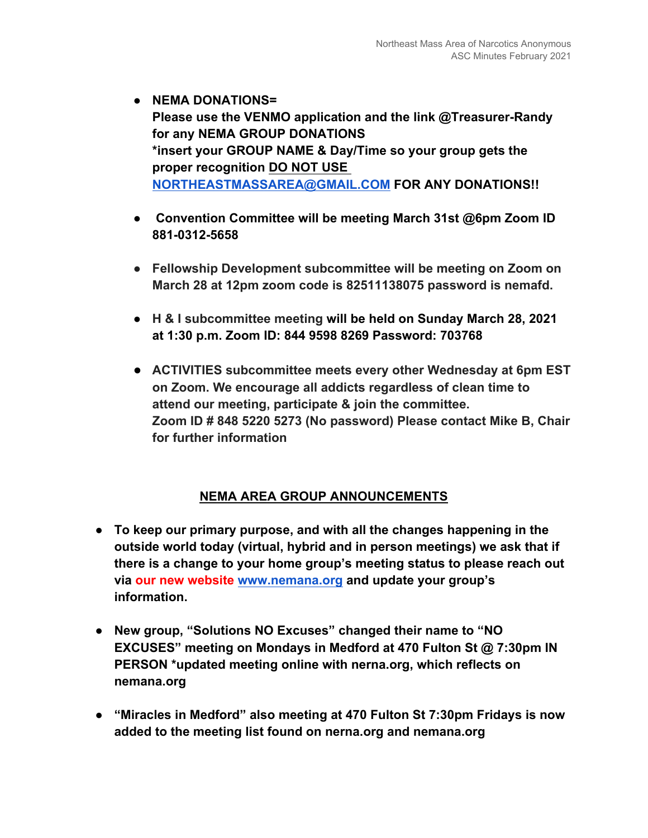- **NEMA DONATIONS= Please use the VENMO application and the link @Treasurer-Randy for any NEMA GROUP DONATIONS \*insert your GROUP NAME & Day/Time so your group gets the proper recognition DO NOT USE NORTHEASTMASSAREA@GMAIL.COM FOR ANY DONATIONS!!**
- ● **Convention Committee will be meeting March 31st @6pm Zoom ID 881-0312-5658**
- **Fellowship Development subcommittee will be meeting on Zoom on March 28 at 12pm zoom code is 82511138075 password is nemafd.**
- **H & I subcommittee meeting will be held on Sunday March 28, 2021 at 1:30 p.m. Zoom ID: 844 9598 8269 Password: 703768**
- **ACTIVITIES subcommittee meets every other Wednesday at 6pm EST on Zoom. We encourage all addicts regardless of clean time to attend our meeting, participate & join the committee. Zoom ID # 848 5220 5273 (No password) Please contact Mike B, Chair for further information**

### **NEMA AREA GROUP ANNOUNCEMENTS**

- **To keep our primary purpose, and with all the changes happening in the outside world today (virtual, hybrid and in person meetings) we ask that if there is a change to your home group's meeting status to please reach out via our new website www.nemana.org and update your group's information.**
- **New group, "Solutions NO Excuses" changed their name to "NO EXCUSES" meeting on Mondays in Medford at 470 Fulton St @ 7:30pm IN PERSON \*updated meeting online with nerna.org, which reflects on nemana.org**
- **"Miracles in Medford" also meeting at 470 Fulton St 7:30pm Fridays is now added to the meeting list found on nerna.org and nemana.org**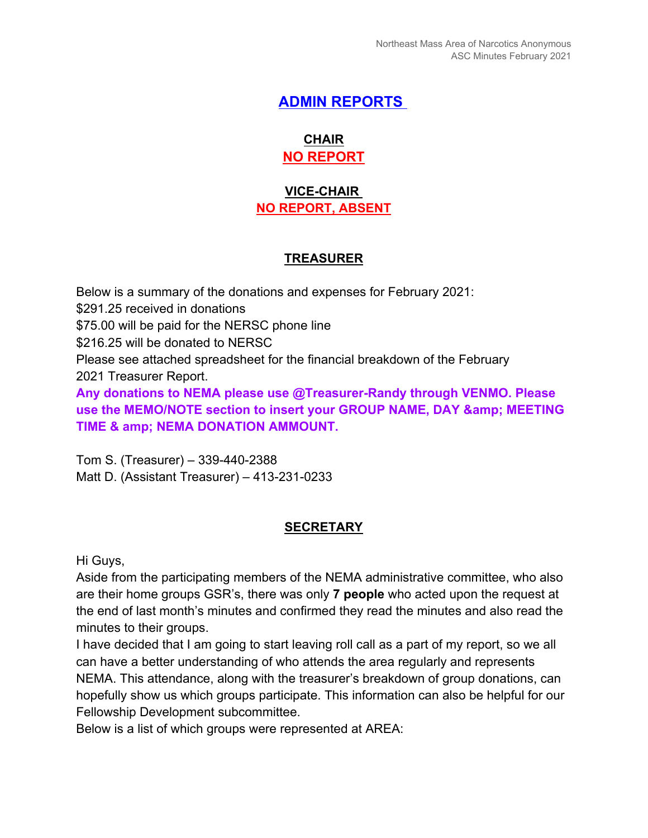# **ADMIN REPORTS**

### **CHAIR NO REPORT**

# **VICE-CHAIR NO REPORT, ABSENT**

### **TREASURER**

Below is a summary of the donations and expenses for February 2021: \$291.25 received in donations \$75.00 will be paid for the NERSC phone line \$216.25 will be donated to NERSC Please see attached spreadsheet for the financial breakdown of the February 2021 Treasurer Report. **Any donations to NEMA please use @Treasurer-Randy through VENMO. Please** use the MEMO/NOTE section to insert your GROUP NAME, DAY & amp; MEETING **TIME & amp; NEMA DONATION AMMOUNT.**

Tom S. (Treasurer) – 339-440-2388 Matt D. (Assistant Treasurer) – 413-231-0233

### **SECRETARY**

Hi Guys,

Aside from the participating members of the NEMA administrative committee, who also are their home groups GSR's, there was only **7 people** who acted upon the request at the end of last month's minutes and confirmed they read the minutes and also read the minutes to their groups.

I have decided that I am going to start leaving roll call as a part of my report, so we all can have a better understanding of who attends the area regularly and represents NEMA. This attendance, along with the treasurer's breakdown of group donations, can hopefully show us which groups participate. This information can also be helpful for our Fellowship Development subcommittee.

Below is a list of which groups were represented at AREA: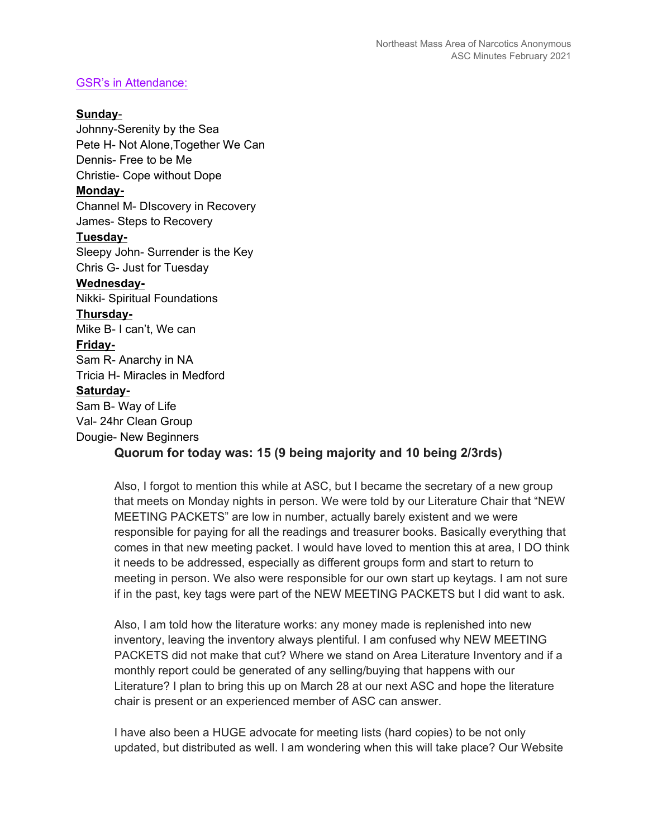#### GSR's in Attendance:

#### **Sunday**-

Johnny-Serenity by the Sea Pete H- Not Alone,Together We Can Dennis- Free to be Me Christie- Cope without Dope

#### **Monday-**

Channel M- DIscovery in Recovery James- Steps to Recovery

#### **Tuesday-**

Sleepy John- Surrender is the Key Chris G- Just for Tuesday

#### **Wednesday-**

Nikki- Spiritual Foundations

#### **Thursday-**

Mike B- I can't, We can

### **Friday-**

Sam R- Anarchy in NA Tricia H- Miracles in Medford

#### **Saturday-**

Sam B- Way of Life Val- 24hr Clean Group Dougie- New Beginners

#### **Quorum for today was: 15 (9 being majority and 10 being 2/3rds)**

Also, I forgot to mention this while at ASC, but I became the secretary of a new group that meets on Monday nights in person. We were told by our Literature Chair that "NEW MEETING PACKETS" are low in number, actually barely existent and we were responsible for paying for all the readings and treasurer books. Basically everything that comes in that new meeting packet. I would have loved to mention this at area, I DO think it needs to be addressed, especially as different groups form and start to return to meeting in person. We also were responsible for our own start up keytags. I am not sure if in the past, key tags were part of the NEW MEETING PACKETS but I did want to ask.

Also, I am told how the literature works: any money made is replenished into new inventory, leaving the inventory always plentiful. I am confused why NEW MEETING PACKETS did not make that cut? Where we stand on Area Literature Inventory and if a monthly report could be generated of any selling/buying that happens with our Literature? I plan to bring this up on March 28 at our next ASC and hope the literature chair is present or an experienced member of ASC can answer.

I have also been a HUGE advocate for meeting lists (hard copies) to be not only updated, but distributed as well. I am wondering when this will take place? Our Website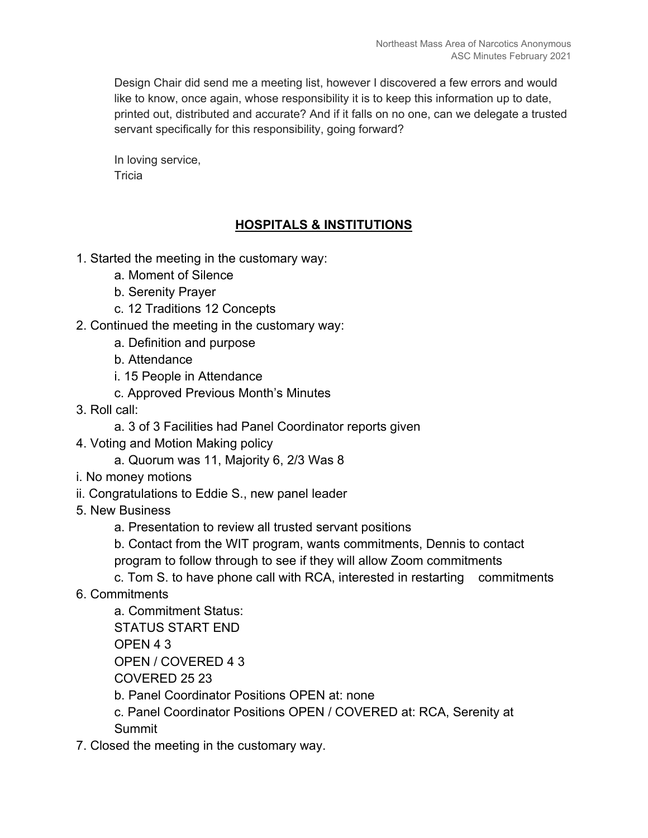Design Chair did send me a meeting list, however I discovered a few errors and would like to know, once again, whose responsibility it is to keep this information up to date, printed out, distributed and accurate? And if it falls on no one, can we delegate a trusted servant specifically for this responsibility, going forward?

In loving service, **Tricia** 

# **HOSPITALS & INSTITUTIONS**

- 1. Started the meeting in the customary way:
	- a. Moment of Silence
	- b. Serenity Prayer
	- c. 12 Traditions 12 Concepts
- 2. Continued the meeting in the customary way:
	- a. Definition and purpose
	- b. Attendance
	- i. 15 People in Attendance
	- c. Approved Previous Month's Minutes
- 3. Roll call:
	- a. 3 of 3 Facilities had Panel Coordinator reports given
- 4. Voting and Motion Making policy
	- a. Quorum was 11, Majority 6, 2/3 Was 8
- i. No money motions
- ii. Congratulations to Eddie S., new panel leader
- 5. New Business
	- a. Presentation to review all trusted servant positions
	- b. Contact from the WIT program, wants commitments, Dennis to contact program to follow through to see if they will allow Zoom commitments
	- c. Tom S. to have phone call with RCA, interested in restarting commitments
- 6. Commitments

a. Commitment Status: STATUS START END OPEN 4 3 OPEN / COVERED 4 3 COVERED 25 23 b. Panel Coordinator Positions OPEN at: none c. Panel Coordinator Positions OPEN / COVERED at: RCA, Serenity at

- Summit
- 7. Closed the meeting in the customary way.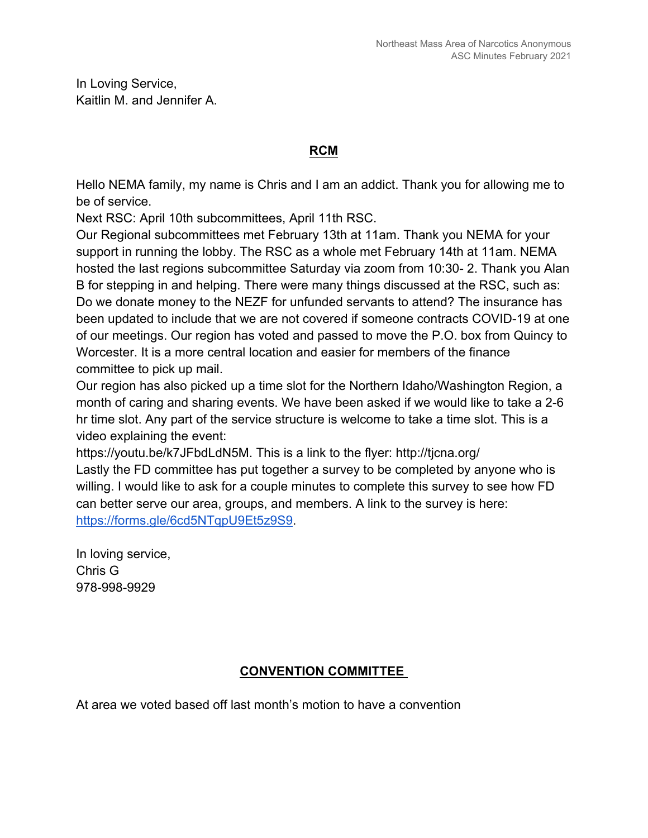In Loving Service, Kaitlin M. and Jennifer A.

#### **RCM**

Hello NEMA family, my name is Chris and I am an addict. Thank you for allowing me to be of service.

Next RSC: April 10th subcommittees, April 11th RSC.

Our Regional subcommittees met February 13th at 11am. Thank you NEMA for your support in running the lobby. The RSC as a whole met February 14th at 11am. NEMA hosted the last regions subcommittee Saturday via zoom from 10:30- 2. Thank you Alan B for stepping in and helping. There were many things discussed at the RSC, such as: Do we donate money to the NEZF for unfunded servants to attend? The insurance has been updated to include that we are not covered if someone contracts COVID-19 at one of our meetings. Our region has voted and passed to move the P.O. box from Quincy to Worcester. It is a more central location and easier for members of the finance committee to pick up mail.

Our region has also picked up a time slot for the Northern Idaho/Washington Region, a month of caring and sharing events. We have been asked if we would like to take a 2-6 hr time slot. Any part of the service structure is welcome to take a time slot. This is a video explaining the event:

https://youtu.be/k7JFbdLdN5M. This is a link to the flyer: http://tjcna.org/ Lastly the FD committee has put together a survey to be completed by anyone who is willing. I would like to ask for a couple minutes to complete this survey to see how FD can better serve our area, groups, and members. A link to the survey is here: https://forms.gle/6cd5NTqpU9Et5z9S9.

In loving service, Chris G 978-998-9929

### **CONVENTION COMMITTEE**

At area we voted based off last month's motion to have a convention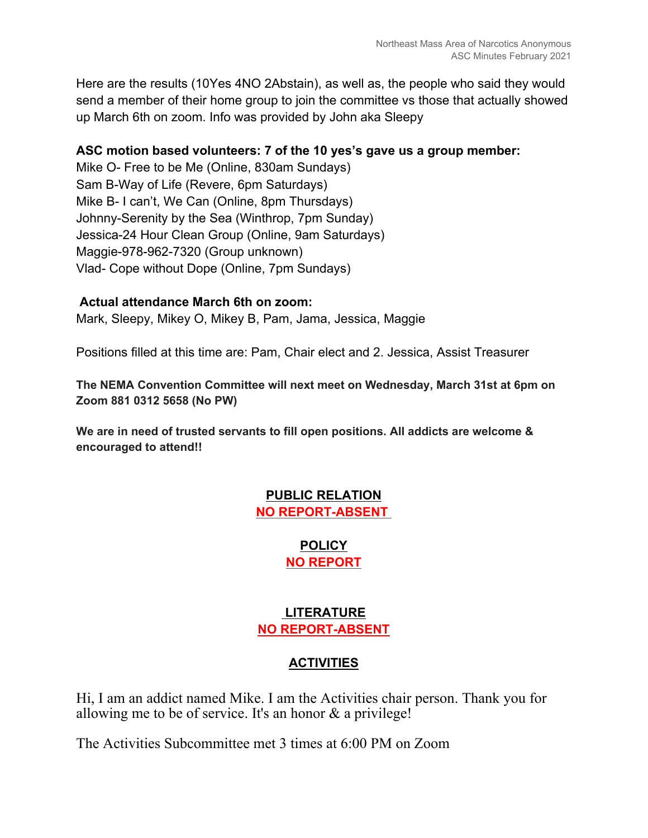Here are the results (10Yes 4NO 2Abstain), as well as, the people who said they would send a member of their home group to join the committee vs those that actually showed up March 6th on zoom. Info was provided by John aka Sleepy

### **ASC motion based volunteers: 7 of the 10 yes's gave us a group member:**

Mike O- Free to be Me (Online, 830am Sundays) Sam B-Way of Life (Revere, 6pm Saturdays) Mike B- I can't, We Can (Online, 8pm Thursdays) Johnny-Serenity by the Sea (Winthrop, 7pm Sunday) Jessica-24 Hour Clean Group (Online, 9am Saturdays) Maggie-978-962-7320 (Group unknown) Vlad- Cope without Dope (Online, 7pm Sundays)

#### **Actual attendance March 6th on zoom:**

Mark, Sleepy, Mikey O, Mikey B, Pam, Jama, Jessica, Maggie

Positions filled at this time are: Pam, Chair elect and 2. Jessica, Assist Treasurer

**The NEMA Convention Committee will next meet on Wednesday, March 31st at 6pm on Zoom 881 0312 5658 (No PW)** 

**We are in need of trusted servants to fill open positions. All addicts are welcome & encouraged to attend!!**

> **PUBLIC RELATION NO REPORT-ABSENT**

> > **POLICY NO REPORT**

### **LITERATURE NO REPORT-ABSENT**

### **ACTIVITIES**

Hi, I am an addict named Mike. I am the Activities chair person. Thank you for allowing me to be of service. It's an honor & a privilege!

The Activities Subcommittee met 3 times at 6:00 PM on Zoom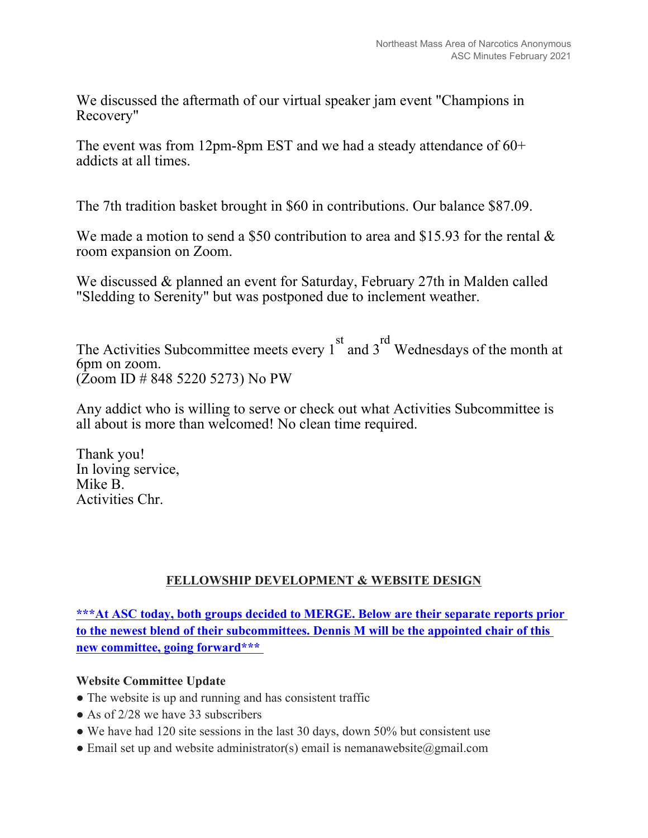We discussed the aftermath of our virtual speaker jam event "Champions in Recovery"

The event was from 12pm-8pm EST and we had a steady attendance of 60+ addicts at all times.

The 7th tradition basket brought in \$60 in contributions. Our balance \$87.09.

We made a motion to send a \$50 contribution to area and \$15.93 for the rental  $\&$ room expansion on Zoom.

We discussed & planned an event for Saturday, February 27th in Malden called "Sledding to Serenity" but was postponed due to inclement weather.

The Activities Subcommittee meets every  $1<sup>st</sup>$  and  $3<sup>rd</sup>$  Wednesdays of the month at 6pm on zoom. (Zoom ID # 848 5220 5273) No PW

Any addict who is willing to serve or check out what Activities Subcommittee is all about is more than welcomed! No clean time required.

Thank you! In loving service, Mike B. Activities Chr.

### **FELLOWSHIP DEVELOPMENT & WEBSITE DESIGN**

**\*\*\*At ASC today, both groups decided to MERGE. Below are their separate reports prior to the newest blend of their subcommittees. Dennis M will be the appointed chair of this new committee, going forward\*\*\*** 

### **Website Committee Update**

- The website is up and running and has consistent traffic
- As of  $2/28$  we have 33 subscribers
- We have had 120 site sessions in the last 30 days, down 50% but consistent use
- Email set up and website administrator(s) email is nemanawebsite  $@g$  mail.com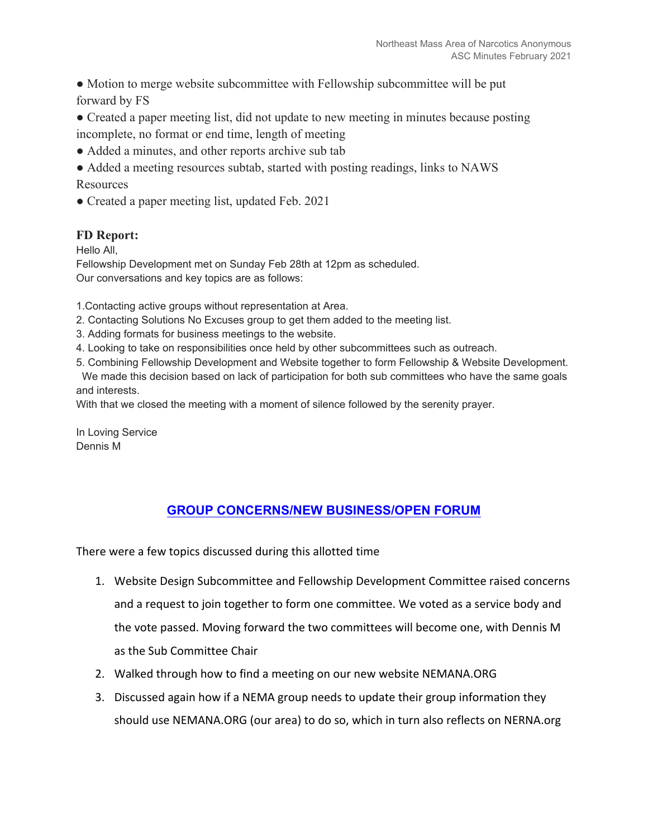• Motion to merge website subcommittee with Fellowship subcommittee will be put forward by FS

- Created a paper meeting list, did not update to new meeting in minutes because posting incomplete, no format or end time, length of meeting
- Added a minutes, and other reports archive sub tab
- Added a meeting resources subtab, started with posting readings, links to NAWS Resources
- Created a paper meeting list, updated Feb. 2021

### **FD Report:**

Hello All,

Fellowship Development met on Sunday Feb 28th at 12pm as scheduled. Our conversations and key topics are as follows:

1.Contacting active groups without representation at Area.

- 2. Contacting Solutions No Excuses group to get them added to the meeting list.
- 3. Adding formats for business meetings to the website.
- 4. Looking to take on responsibilities once held by other subcommittees such as outreach.
- 5. Combining Fellowship Development and Website together to form Fellowship & Website Development. We made this decision based on lack of participation for both sub committees who have the same goals and interests.

With that we closed the meeting with a moment of silence followed by the serenity prayer.

In Loving Service Dennis M

### **GROUP CONCERNS/NEW BUSINESS/OPEN FORUM**

There were a few topics discussed during this allotted time

- 1. Website Design Subcommittee and Fellowship Development Committee raised concerns and a request to join together to form one committee. We voted as a service body and the vote passed. Moving forward the two committees will become one, with Dennis M as the Sub Committee Chair
- 2. Walked through how to find a meeting on our new website NEMANA.ORG
- 3. Discussed again how if a NEMA group needs to update their group information they should use NEMANA.ORG (our area) to do so, which in turn also reflects on NERNA.org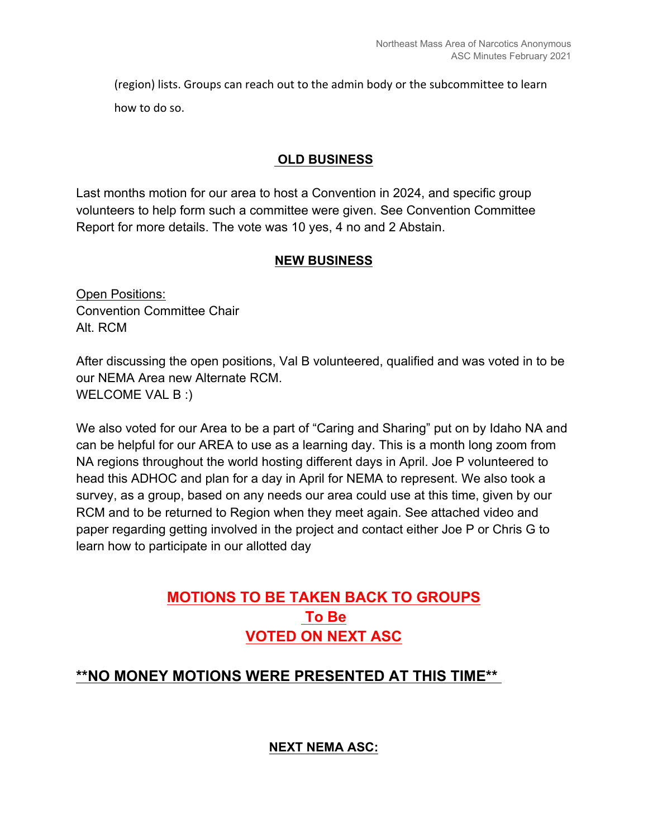(region) lists. Groups can reach out to the admin body or the subcommittee to learn how to do so.

### **OLD BUSINESS**

Last months motion for our area to host a Convention in 2024, and specific group volunteers to help form such a committee were given. See Convention Committee Report for more details. The vote was 10 yes, 4 no and 2 Abstain.

### **NEW BUSINESS**

Open Positions: Convention Committee Chair Alt. RCM

After discussing the open positions, Val B volunteered, qualified and was voted in to be our NEMA Area new Alternate RCM. WELCOME VAL B :)

We also voted for our Area to be a part of "Caring and Sharing" put on by Idaho NA and can be helpful for our AREA to use as a learning day. This is a month long zoom from NA regions throughout the world hosting different days in April. Joe P volunteered to head this ADHOC and plan for a day in April for NEMA to represent. We also took a survey, as a group, based on any needs our area could use at this time, given by our RCM and to be returned to Region when they meet again. See attached video and paper regarding getting involved in the project and contact either Joe P or Chris G to learn how to participate in our allotted day

# **MOTIONS TO BE TAKEN BACK TO GROUPS To Be VOTED ON NEXT ASC**

# **\*\*NO MONEY MOTIONS WERE PRESENTED AT THIS TIME\*\***

**NEXT NEMA ASC:**